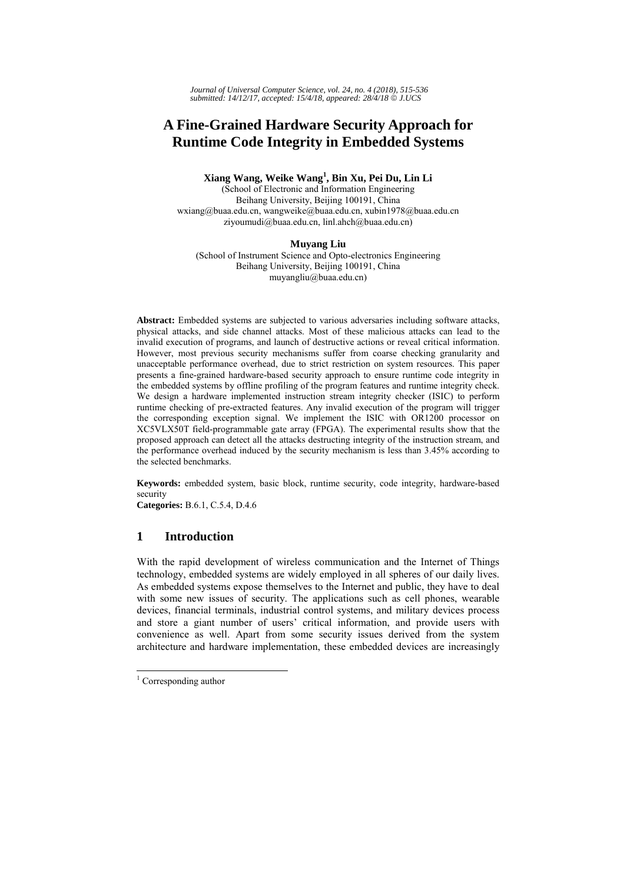*Journal of Universal Computer Science, vol. 24, no. 4 (2018), 515-536 submitted: 14/12/17, accepted: 15/4/18, appeared: 28/4/18* © *J.UCS*

# **A Fine-Grained Hardware Security Approach for Runtime Code Integrity in Embedded Systems**

# **Xiang Wang, Weike Wang<sup>1</sup> , Bin Xu, Pei Du, Lin Li**

(School of Electronic and Information Engineering Beihang University, Beijing 100191, China wxiang@buaa.edu.cn, wangweike@buaa.edu.cn, xubin1978@buaa.edu.cn ziyoumudi@buaa.edu.cn, linl.ahch@buaa.edu.cn)

#### **Muyang Liu**

(School of Instrument Science and Opto-electronics Engineering Beihang University, Beijing 100191, China muyangliu@buaa.edu.cn)

**Abstract:** Embedded systems are subjected to various adversaries including software attacks, physical attacks, and side channel attacks. Most of these malicious attacks can lead to the invalid execution of programs, and launch of destructive actions or reveal critical information. However, most previous security mechanisms suffer from coarse checking granularity and unacceptable performance overhead, due to strict restriction on system resources. This paper presents a fine-grained hardware-based security approach to ensure runtime code integrity in the embedded systems by offline profiling of the program features and runtime integrity check. We design a hardware implemented instruction stream integrity checker (ISIC) to perform runtime checking of pre-extracted features. Any invalid execution of the program will trigger the corresponding exception signal. We implement the ISIC with OR1200 processor on XC5VLX50T field-programmable gate array (FPGA). The experimental results show that the proposed approach can detect all the attacks destructing integrity of the instruction stream, and the performance overhead induced by the security mechanism is less than 3.45% according to the selected benchmarks.

**Keywords:** embedded system, basic block, runtime security, code integrity, hardware-based security

**Categories:** B.6.1, C.5.4, D.4.6

# **1 Introduction**

With the rapid development of wireless communication and the Internet of Things technology, embedded systems are widely employed in all spheres of our daily lives. As embedded systems expose themselves to the Internet and public, they have to deal with some new issues of security. The applications such as cell phones, wearable devices, financial terminals, industrial control systems, and military devices process and store a giant number of users' critical information, and provide users with convenience as well. Apart from some security issues derived from the system architecture and hardware implementation, these embedded devices are increasingly

l

<sup>&</sup>lt;sup>1</sup> Corresponding author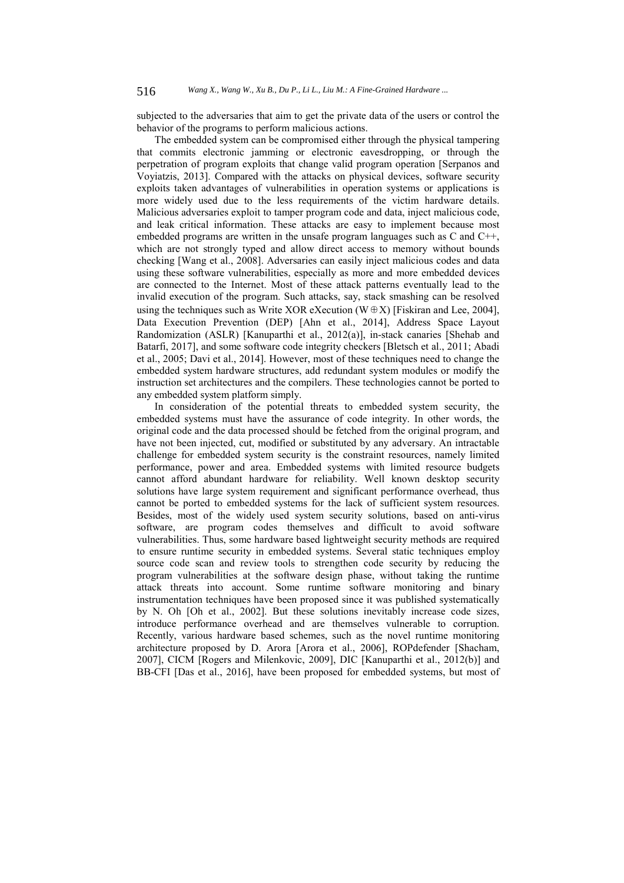subjected to the adversaries that aim to get the private data of the users or control the behavior of the programs to perform malicious actions.

The embedded system can be compromised either through the physical tampering that commits electronic jamming or electronic eavesdropping, or through the perpetration of program exploits that change valid program operation [Serpanos and Voyiatzis, 2013]. Compared with the attacks on physical devices, software security exploits taken advantages of vulnerabilities in operation systems or applications is more widely used due to the less requirements of the victim hardware details. Malicious adversaries exploit to tamper program code and data, inject malicious code, and leak critical information. These attacks are easy to implement because most embedded programs are written in the unsafe program languages such as C and C++, which are not strongly typed and allow direct access to memory without bounds checking [Wang et al., 2008]. Adversaries can easily inject malicious codes and data using these software vulnerabilities, especially as more and more embedded devices are connected to the Internet. Most of these attack patterns eventually lead to the invalid execution of the program. Such attacks, say, stack smashing can be resolved using the techniques such as Write XOR eXecution (W⊕X) [Fiskiran and Lee, 2004], Data Execution Prevention (DEP) [Ahn et al., 2014], Address Space Layout Randomization (ASLR) [Kanuparthi et al., 2012(a)], in-stack canaries [Shehab and Batarfi, 2017], and some software code integrity checkers [Bletsch et al., 2011; Abadi et al., 2005; Davi et al., 2014]. However, most of these techniques need to change the embedded system hardware structures, add redundant system modules or modify the instruction set architectures and the compilers. These technologies cannot be ported to any embedded system platform simply.

In consideration of the potential threats to embedded system security, the embedded systems must have the assurance of code integrity. In other words, the original code and the data processed should be fetched from the original program, and have not been injected, cut, modified or substituted by any adversary. An intractable challenge for embedded system security is the constraint resources, namely limited performance, power and area. Embedded systems with limited resource budgets cannot afford abundant hardware for reliability. Well known desktop security solutions have large system requirement and significant performance overhead, thus cannot be ported to embedded systems for the lack of sufficient system resources. Besides, most of the widely used system security solutions, based on anti-virus software, are program codes themselves and difficult to avoid software vulnerabilities. Thus, some hardware based lightweight security methods are required to ensure runtime security in embedded systems. Several static techniques employ source code scan and review tools to strengthen code security by reducing the program vulnerabilities at the software design phase, without taking the runtime attack threats into account. Some runtime software monitoring and binary instrumentation techniques have been proposed since it was published systematically by N. Oh [Oh et al., 2002]. But these solutions inevitably increase code sizes, introduce performance overhead and are themselves vulnerable to corruption. Recently, various hardware based schemes, such as the novel runtime monitoring architecture proposed by D. Arora [Arora et al., 2006], ROPdefender [Shacham, 2007], CICM [Rogers and Milenkovic, 2009], DIC [Kanuparthi et al., 2012(b)] and BB-CFI [Das et al., 2016], have been proposed for embedded systems, but most of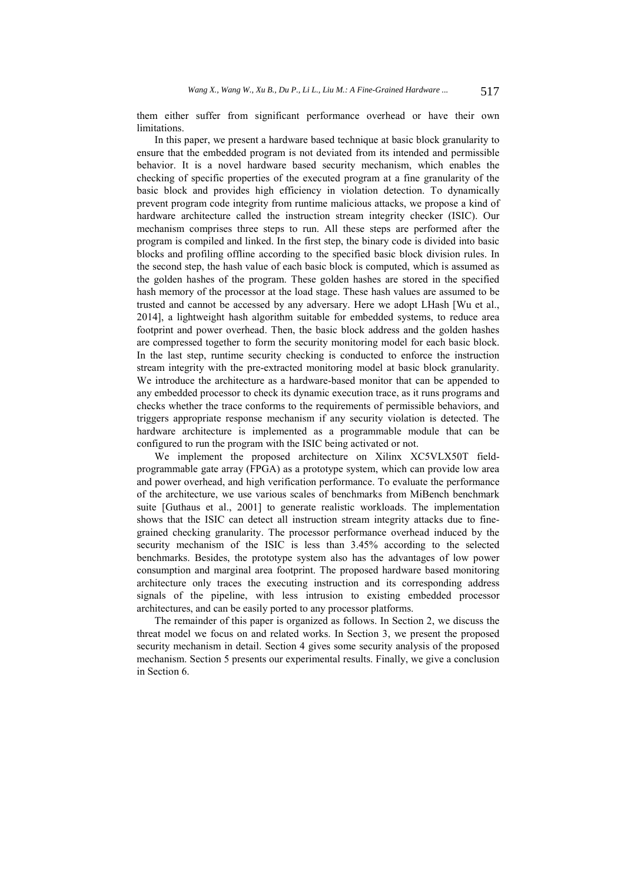them either suffer from significant performance overhead or have their own limitations.

In this paper, we present a hardware based technique at basic block granularity to ensure that the embedded program is not deviated from its intended and permissible behavior. It is a novel hardware based security mechanism, which enables the checking of specific properties of the executed program at a fine granularity of the basic block and provides high efficiency in violation detection. To dynamically prevent program code integrity from runtime malicious attacks, we propose a kind of hardware architecture called the instruction stream integrity checker (ISIC). Our mechanism comprises three steps to run. All these steps are performed after the program is compiled and linked. In the first step, the binary code is divided into basic blocks and profiling offline according to the specified basic block division rules. In the second step, the hash value of each basic block is computed, which is assumed as the golden hashes of the program. These golden hashes are stored in the specified hash memory of the processor at the load stage. These hash values are assumed to be trusted and cannot be accessed by any adversary. Here we adopt LHash [Wu et al., 2014], a lightweight hash algorithm suitable for embedded systems, to reduce area footprint and power overhead. Then, the basic block address and the golden hashes are compressed together to form the security monitoring model for each basic block. In the last step, runtime security checking is conducted to enforce the instruction stream integrity with the pre-extracted monitoring model at basic block granularity. We introduce the architecture as a hardware-based monitor that can be appended to any embedded processor to check its dynamic execution trace, as it runs programs and checks whether the trace conforms to the requirements of permissible behaviors, and triggers appropriate response mechanism if any security violation is detected. The hardware architecture is implemented as a programmable module that can be configured to run the program with the ISIC being activated or not.

We implement the proposed architecture on Xilinx XC5VLX50T fieldprogrammable gate array (FPGA) as a prototype system, which can provide low area and power overhead, and high verification performance. To evaluate the performance of the architecture, we use various scales of benchmarks from MiBench benchmark suite [Guthaus et al., 2001] to generate realistic workloads. The implementation shows that the ISIC can detect all instruction stream integrity attacks due to finegrained checking granularity. The processor performance overhead induced by the security mechanism of the ISIC is less than 3.45% according to the selected benchmarks. Besides, the prototype system also has the advantages of low power consumption and marginal area footprint. The proposed hardware based monitoring architecture only traces the executing instruction and its corresponding address signals of the pipeline, with less intrusion to existing embedded processor architectures, and can be easily ported to any processor platforms.

The remainder of this paper is organized as follows. In Section 2, we discuss the threat model we focus on and related works. In Section 3, we present the proposed security mechanism in detail. Section 4 gives some security analysis of the proposed mechanism. Section 5 presents our experimental results. Finally, we give a conclusion in Section 6.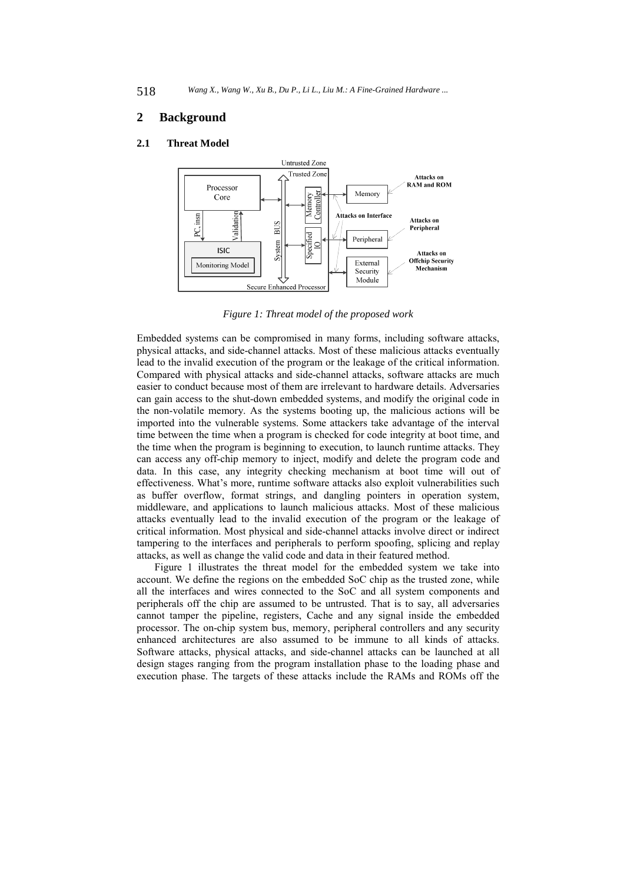## **2 Background**

#### **2.1 Threat Model**



*Figure 1: Threat model of the proposed work* 

Embedded systems can be compromised in many forms, including software attacks, physical attacks, and side-channel attacks. Most of these malicious attacks eventually lead to the invalid execution of the program or the leakage of the critical information. Compared with physical attacks and side-channel attacks, software attacks are much easier to conduct because most of them are irrelevant to hardware details. Adversaries can gain access to the shut-down embedded systems, and modify the original code in the non-volatile memory. As the systems booting up, the malicious actions will be imported into the vulnerable systems. Some attackers take advantage of the interval time between the time when a program is checked for code integrity at boot time, and the time when the program is beginning to execution, to launch runtime attacks. They can access any off-chip memory to inject, modify and delete the program code and data. In this case, any integrity checking mechanism at boot time will out of effectiveness. What's more, runtime software attacks also exploit vulnerabilities such as buffer overflow, format strings, and dangling pointers in operation system, middleware, and applications to launch malicious attacks. Most of these malicious attacks eventually lead to the invalid execution of the program or the leakage of critical information. Most physical and side-channel attacks involve direct or indirect tampering to the interfaces and peripherals to perform spoofing, splicing and replay attacks, as well as change the valid code and data in their featured method.

Figure 1 illustrates the threat model for the embedded system we take into account. We define the regions on the embedded SoC chip as the trusted zone, while all the interfaces and wires connected to the SoC and all system components and peripherals off the chip are assumed to be untrusted. That is to say, all adversaries cannot tamper the pipeline, registers, Cache and any signal inside the embedded processor. The on-chip system bus, memory, peripheral controllers and any security enhanced architectures are also assumed to be immune to all kinds of attacks. Software attacks, physical attacks, and side-channel attacks can be launched at all design stages ranging from the program installation phase to the loading phase and execution phase. The targets of these attacks include the RAMs and ROMs off the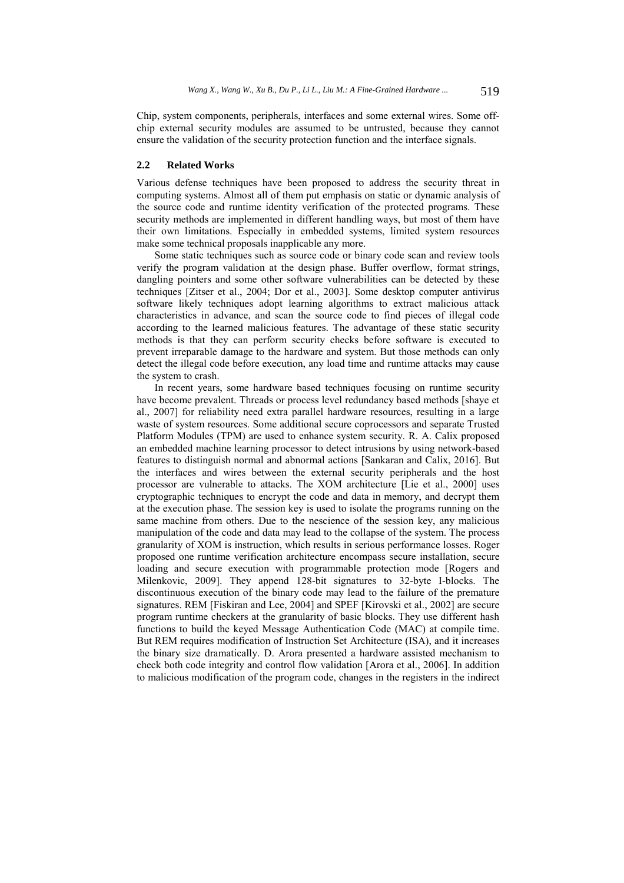Chip, system components, peripherals, interfaces and some external wires. Some offchip external security modules are assumed to be untrusted, because they cannot ensure the validation of the security protection function and the interface signals.

#### **2.2 Related Works**

Various defense techniques have been proposed to address the security threat in computing systems. Almost all of them put emphasis on static or dynamic analysis of the source code and runtime identity verification of the protected programs. These security methods are implemented in different handling ways, but most of them have their own limitations. Especially in embedded systems, limited system resources make some technical proposals inapplicable any more.

Some static techniques such as source code or binary code scan and review tools verify the program validation at the design phase. Buffer overflow, format strings, dangling pointers and some other software vulnerabilities can be detected by these techniques [Zitser et al., 2004; Dor et al., 2003]. Some desktop computer antivirus software likely techniques adopt learning algorithms to extract malicious attack characteristics in advance, and scan the source code to find pieces of illegal code according to the learned malicious features. The advantage of these static security methods is that they can perform security checks before software is executed to prevent irreparable damage to the hardware and system. But those methods can only detect the illegal code before execution, any load time and runtime attacks may cause the system to crash.

In recent years, some hardware based techniques focusing on runtime security have become prevalent. Threads or process level redundancy based methods [shaye et al., 2007] for reliability need extra parallel hardware resources, resulting in a large waste of system resources. Some additional secure coprocessors and separate Trusted Platform Modules (TPM) are used to enhance system security. R. A. Calix proposed an embedded machine learning processor to detect intrusions by using network-based features to distinguish normal and abnormal actions [Sankaran and Calix, 2016]. But the interfaces and wires between the external security peripherals and the host processor are vulnerable to attacks. The XOM architecture [Lie et al., 2000] uses cryptographic techniques to encrypt the code and data in memory, and decrypt them at the execution phase. The session key is used to isolate the programs running on the same machine from others. Due to the nescience of the session key, any malicious manipulation of the code and data may lead to the collapse of the system. The process granularity of XOM is instruction, which results in serious performance losses. Roger proposed one runtime verification architecture encompass secure installation, secure loading and secure execution with programmable protection mode [Rogers and Milenkovic, 2009]. They append 128-bit signatures to 32-byte I-blocks. The discontinuous execution of the binary code may lead to the failure of the premature signatures. REM [Fiskiran and Lee, 2004] and SPEF [Kirovski et al., 2002] are secure program runtime checkers at the granularity of basic blocks. They use different hash functions to build the keyed Message Authentication Code (MAC) at compile time. But REM requires modification of Instruction Set Architecture (ISA), and it increases the binary size dramatically. D. Arora presented a hardware assisted mechanism to check both code integrity and control flow validation [Arora et al., 2006]. In addition to malicious modification of the program code, changes in the registers in the indirect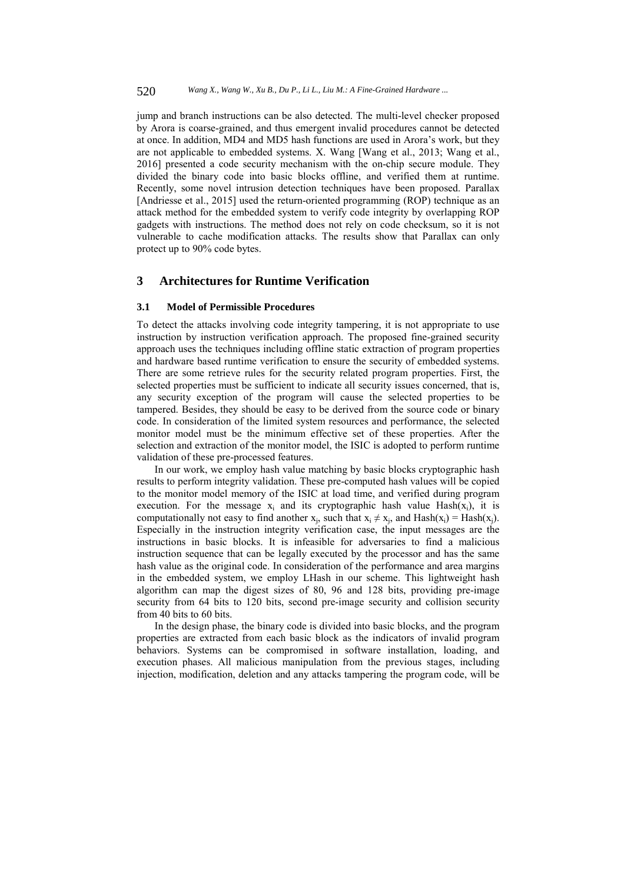jump and branch instructions can be also detected. The multi-level checker proposed by Arora is coarse-grained, and thus emergent invalid procedures cannot be detected at once. In addition, MD4 and MD5 hash functions are used in Arora's work, but they are not applicable to embedded systems. X. Wang [Wang et al., 2013; Wang et al., 2016] presented a code security mechanism with the on-chip secure module. They divided the binary code into basic blocks offline, and verified them at runtime. Recently, some novel intrusion detection techniques have been proposed. Parallax [Andriesse et al., 2015] used the return-oriented programming (ROP) technique as an attack method for the embedded system to verify code integrity by overlapping ROP gadgets with instructions. The method does not rely on code checksum, so it is not vulnerable to cache modification attacks. The results show that Parallax can only protect up to 90% code bytes.

# **3 Architectures for Runtime Verification**

#### **3.1 Model of Permissible Procedures**

To detect the attacks involving code integrity tampering, it is not appropriate to use instruction by instruction verification approach. The proposed fine-grained security approach uses the techniques including offline static extraction of program properties and hardware based runtime verification to ensure the security of embedded systems. There are some retrieve rules for the security related program properties. First, the selected properties must be sufficient to indicate all security issues concerned, that is, any security exception of the program will cause the selected properties to be tampered. Besides, they should be easy to be derived from the source code or binary code. In consideration of the limited system resources and performance, the selected monitor model must be the minimum effective set of these properties. After the selection and extraction of the monitor model, the ISIC is adopted to perform runtime validation of these pre-processed features.

In our work, we employ hash value matching by basic blocks cryptographic hash results to perform integrity validation. These pre-computed hash values will be copied to the monitor model memory of the ISIC at load time, and verified during program execution. For the message  $x_i$  and its cryptographic hash value Hash $(x_i)$ , it is computationally not easy to find another  $x_i$ , such that  $x_i \neq x_i$ , and  $Hash(x_i) = Hash(x_i)$ . Especially in the instruction integrity verification case, the input messages are the instructions in basic blocks. It is infeasible for adversaries to find a malicious instruction sequence that can be legally executed by the processor and has the same hash value as the original code. In consideration of the performance and area margins in the embedded system, we employ LHash in our scheme. This lightweight hash algorithm can map the digest sizes of 80, 96 and 128 bits, providing pre-image security from 64 bits to 120 bits, second pre-image security and collision security from 40 bits to 60 bits.

In the design phase, the binary code is divided into basic blocks, and the program properties are extracted from each basic block as the indicators of invalid program behaviors. Systems can be compromised in software installation, loading, and execution phases. All malicious manipulation from the previous stages, including injection, modification, deletion and any attacks tampering the program code, will be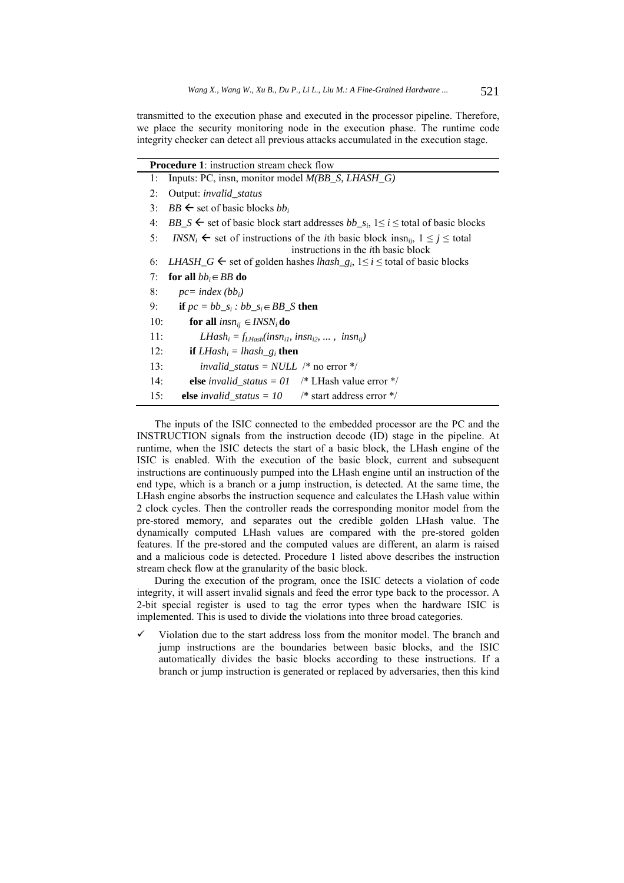transmitted to the execution phase and executed in the processor pipeline. Therefore, we place the security monitoring node in the execution phase. The runtime code integrity checker can detect all previous attacks accumulated in the execution stage.

| <b>Procedure 1:</b> instruction stream check flow                                                                       |
|-------------------------------------------------------------------------------------------------------------------------|
| Inputs: PC, insn, monitor model M(BB_S, LHASH_G)<br>1:                                                                  |
| 2:<br>Output: <i>invalid_status</i>                                                                                     |
| $BB \leftarrow$ set of basic blocks bb <sub>i</sub><br>3:                                                               |
| $BB\_S \leftarrow$ set of basic block start addresses $bb\_s_i$ , $1 \le i \le$ total of basic blocks<br>4:             |
| 5:<br>$INSN_i$ $\leftarrow$ set of instructions of the <i>i</i> th basic block insn <sub>ii</sub> , $1 \le j \le$ total |
| instructions in the <i>i</i> th basic block                                                                             |
| LHASH_G $\leftarrow$ set of golden hashes <i>lhash_g<sub>i</sub></i> , $1 \le i \le$ total of basic blocks<br>6:        |
| 7:<br>for all $bb_i \in BB$ do                                                                                          |
| 8:<br>$pc = index (bb_i)$                                                                                               |
| 9:<br>if $pc = bb\_s_i : bb\_s_i \in BB\_S$ then                                                                        |
| 10:<br>for all $insn_{ij} \in \text{INSN}_i$ do                                                                         |
| 11:<br>$LHash_i = f_{LHash}(insn_{i1}, insn_{i2}, \ldots, insn_{ii})$                                                   |
| 12:<br><b>if</b> $LHash_i = hash_{g_i}$ then                                                                            |
| <i>invalid status = NULL</i> /* no error */<br>13:                                                                      |
| else <i>invalid_status</i> = $01$ /* LHash value error */<br>14:                                                        |
| <b>else</b> <i>invalid_status</i> = $10$ /* start address error */<br>15:                                               |
|                                                                                                                         |

The inputs of the ISIC connected to the embedded processor are the PC and the INSTRUCTION signals from the instruction decode (ID) stage in the pipeline. At runtime, when the ISIC detects the start of a basic block, the LHash engine of the ISIC is enabled. With the execution of the basic block, current and subsequent instructions are continuously pumped into the LHash engine until an instruction of the end type, which is a branch or a jump instruction, is detected. At the same time, the LHash engine absorbs the instruction sequence and calculates the LHash value within 2 clock cycles. Then the controller reads the corresponding monitor model from the pre-stored memory, and separates out the credible golden LHash value. The dynamically computed LHash values are compared with the pre-stored golden features. If the pre-stored and the computed values are different, an alarm is raised and a malicious code is detected. Procedure 1 listed above describes the instruction stream check flow at the granularity of the basic block.

During the execution of the program, once the ISIC detects a violation of code integrity, it will assert invalid signals and feed the error type back to the processor. A 2-bit special register is used to tag the error types when the hardware ISIC is implemented. This is used to divide the violations into three broad categories.

 Violation due to the start address loss from the monitor model. The branch and jump instructions are the boundaries between basic blocks, and the ISIC automatically divides the basic blocks according to these instructions. If a branch or jump instruction is generated or replaced by adversaries, then this kind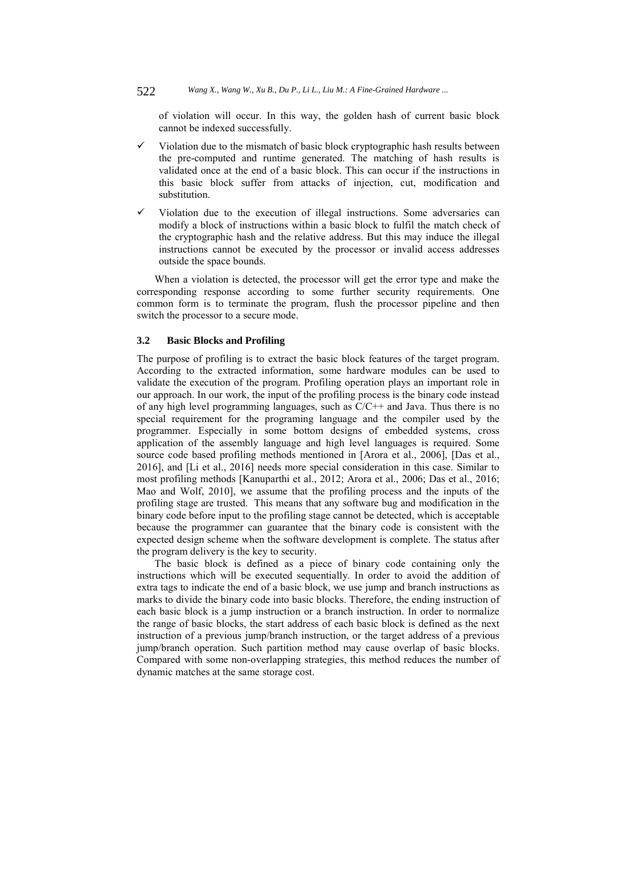of violation will occur. In this way, the golden hash of current basic block cannot be indexed successfully.

- Violation due to the mismatch of basic block cryptographic hash results between the pre-computed and runtime generated. The matching of hash results is validated once at the end of a basic block. This can occur if the instructions in this basic block suffer from attacks of injection, cut, modification and substitution.
- Violation due to the execution of illegal instructions. Some adversaries can modify a block of instructions within a basic block to fulfil the match check of the cryptographic hash and the relative address. But this may induce the illegal instructions cannot be executed by the processor or invalid access addresses outside the space bounds.

When a violation is detected, the processor will get the error type and make the corresponding response according to some further security requirements. One common form is to terminate the program, flush the processor pipeline and then switch the processor to a secure mode.

# **3.2 Basic Blocks and Profiling**

The purpose of profiling is to extract the basic block features of the target program. According to the extracted information, some hardware modules can be used to validate the execution of the program. Profiling operation plays an important role in our approach. In our work, the input of the profiling process is the binary code instead of any high level programming languages, such as  $C/C++$  and Java. Thus there is no special requirement for the programing language and the compiler used by the programmer. Especially in some bottom designs of embedded systems, cross application of the assembly language and high level languages is required. Some source code based profiling methods mentioned in [Arora et al., 2006], [Das et al., 2016], and [Li et al., 2016] needs more special consideration in this case. Similar to most profiling methods [Kanuparthi et al., 2012; Arora et al., 2006; Das et al., 2016; Mao and Wolf, 2010], we assume that the profiling process and the inputs of the profiling stage are trusted. This means that any software bug and modification in the binary code before input to the profiling stage cannot be detected, which is acceptable because the programmer can guarantee that the binary code is consistent with the expected design scheme when the software development is complete. The status after the program delivery is the key to security.

The basic block is defined as a piece of binary code containing only the instructions which will be executed sequentially. In order to avoid the addition of extra tags to indicate the end of a basic block, we use jump and branch instructions as marks to divide the binary code into basic blocks. Therefore, the ending instruction of each basic block is a jump instruction or a branch instruction. In order to normalize the range of basic blocks, the start address of each basic block is defined as the next instruction of a previous jump/branch instruction, or the target address of a previous jump/branch operation. Such partition method may cause overlap of basic blocks. Compared with some non-overlapping strategies, this method reduces the number of dynamic matches at the same storage cost.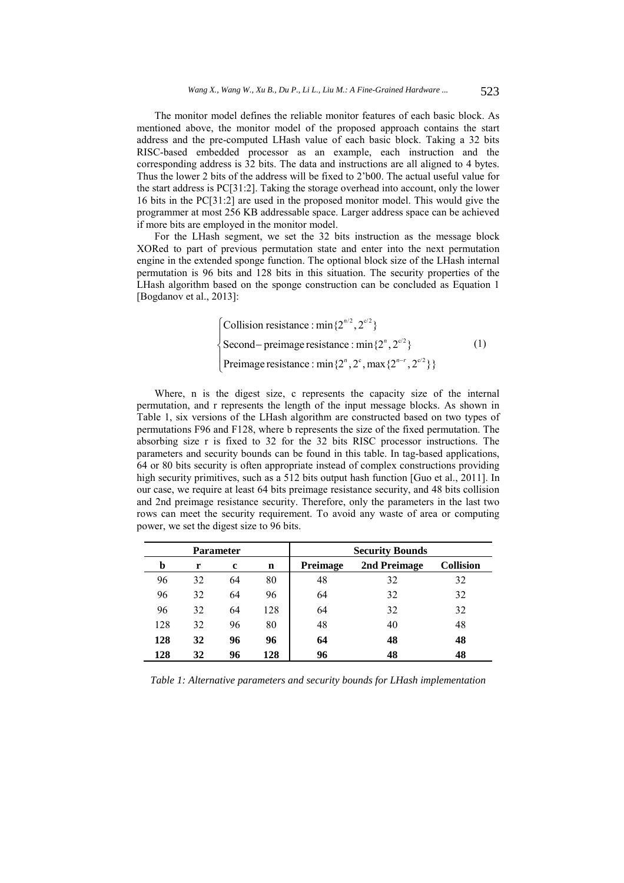The monitor model defines the reliable monitor features of each basic block. As mentioned above, the monitor model of the proposed approach contains the start address and the pre-computed LHash value of each basic block. Taking a 32 bits RISC-based embedded processor as an example, each instruction and the corresponding address is 32 bits. The data and instructions are all aligned to 4 bytes. Thus the lower 2 bits of the address will be fixed to 2'b00. The actual useful value for the start address is PC[31:2]. Taking the storage overhead into account, only the lower 16 bits in the PC[31:2] are used in the proposed monitor model. This would give the programmer at most 256 KB addressable space. Larger address space can be achieved if more bits are employed in the monitor model.

For the LHash segment, we set the 32 bits instruction as the message block XORed to part of previous permutation state and enter into the next permutation engine in the extended sponge function. The optional block size of the LHash internal permutation is 96 bits and 128 bits in this situation. The security properties of the LHash algorithm based on the sponge construction can be concluded as Equation 1 [Bogdanov et al., 2013]:

> [Collision resistance : min $\{2^{n/2}, 2^{c/2}\}\$ Second – preimage resistance : min $\{2^n, 2^{c/2}\}$ Preimage resistance : min $\{2^n, 2^c, \max\{2^{n-r}, 2^{c/2}\}\}\$ ₹  $\overline{\mathcal{L}}$ (1)

Where, n is the digest size, c represents the capacity size of the internal permutation, and r represents the length of the input message blocks. As shown in Table 1, six versions of the LHash algorithm are constructed based on two types of permutations F96 and F128, where b represents the size of the fixed permutation. The absorbing size r is fixed to 32 for the 32 bits RISC processor instructions. The parameters and security bounds can be found in this table. In tag-based applications, 64 or 80 bits security is often appropriate instead of complex constructions providing high security primitives, such as a 512 bits output hash function [Guo et al., 2011]. In our case, we require at least 64 bits preimage resistance security, and 48 bits collision and 2nd preimage resistance security. Therefore, only the parameters in the last two rows can meet the security requirement. To avoid any waste of area or computing power, we set the digest size to 96 bits.

| Parameter |    |    |     | <b>Security Bounds</b> |              |                  |  |
|-----------|----|----|-----|------------------------|--------------|------------------|--|
| b         | r  | c  | n   | Preimage               | 2nd Preimage | <b>Collision</b> |  |
| 96        | 32 | 64 | 80  | 48                     | 32           | 32               |  |
| 96        | 32 | 64 | 96  | 64                     | 32           | 32               |  |
| 96        | 32 | 64 | 128 | 64                     | 32           | 32               |  |
| 128       | 32 | 96 | 80  | 48                     | 40           | 48               |  |
| 128       | 32 | 96 | 96  | 64                     | 48           | 48               |  |
| 128       | 32 | 96 | 128 | 96                     | 48           | 48               |  |

*Table 1: Alternative parameters and security bounds for LHash implementation*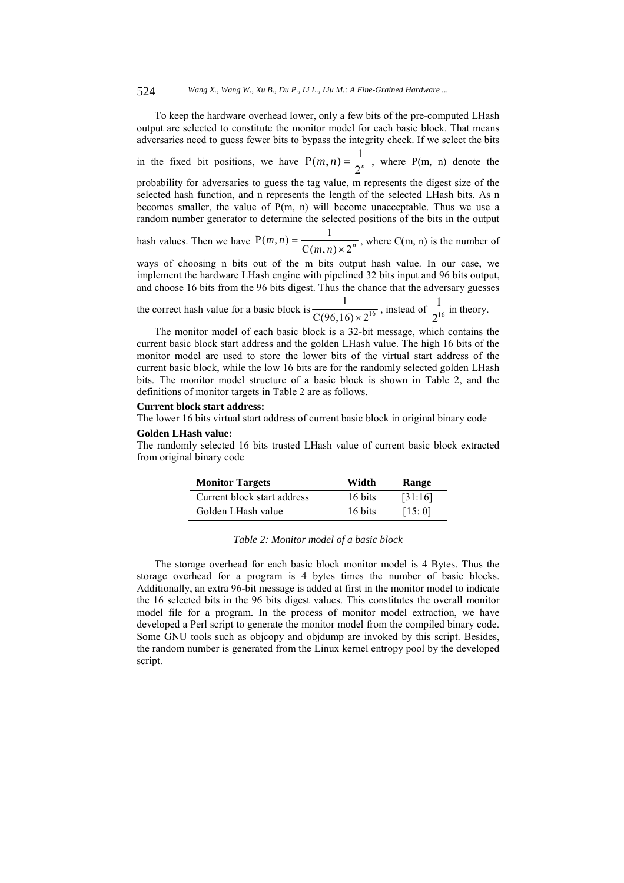To keep the hardware overhead lower, only a few bits of the pre-computed LHash output are selected to constitute the monitor model for each basic block. That means adversaries need to guess fewer bits to bypass the integrity check. If we select the bits

in the fixed bit positions, we have  $P(m, n) = \frac{1}{2^n}$ , where P(m, n) denote the

probability for adversaries to guess the tag value, m represents the digest size of the selected hash function, and n represents the length of the selected LHash bits. As n becomes smaller, the value of  $P(m, n)$  will become unacceptable. Thus we use a random number generator to determine the selected positions of the bits in the output

hash values. Then we have  $P(m, n) = \frac{1}{C(m, n) \times 2^n}$ , where  $C(m, n)$  is the number of

ways of choosing n bits out of the m bits output hash value. In our case, we implement the hardware LHash engine with pipelined 32 bits input and 96 bits output, and choose 16 bits from the 96 bits digest. Thus the chance that the adversary guesses

the correct hash value for a basic block is 
$$
\frac{1}{C(96,16) \times 2^{16}}
$$
, instead of  $\frac{1}{2^{16}}$  in theory.

The monitor model of each basic block is a 32-bit message, which contains the current basic block start address and the golden LHash value. The high 16 bits of the monitor model are used to store the lower bits of the virtual start address of the current basic block, while the low 16 bits are for the randomly selected golden LHash bits. The monitor model structure of a basic block is shown in Table 2, and the definitions of monitor targets in Table 2 are as follows.

#### **Current block start address:**

The lower 16 bits virtual start address of current basic block in original binary code

#### **Golden LHash value:**

The randomly selected 16 bits trusted LHash value of current basic block extracted from original binary code

| <b>Monitor Targets</b>      | Width   | Range   |
|-----------------------------|---------|---------|
| Current block start address | 16 bits | [31:16] |
| Golden LHash value          | 16 bits | [15:0]  |

| Table 2: Monitor model of a basic block |  |  |
|-----------------------------------------|--|--|
|-----------------------------------------|--|--|

The storage overhead for each basic block monitor model is 4 Bytes. Thus the storage overhead for a program is 4 bytes times the number of basic blocks. Additionally, an extra 96-bit message is added at first in the monitor model to indicate the 16 selected bits in the 96 bits digest values. This constitutes the overall monitor model file for a program. In the process of monitor model extraction, we have developed a Perl script to generate the monitor model from the compiled binary code. Some GNU tools such as objcopy and objdump are invoked by this script. Besides, the random number is generated from the Linux kernel entropy pool by the developed script.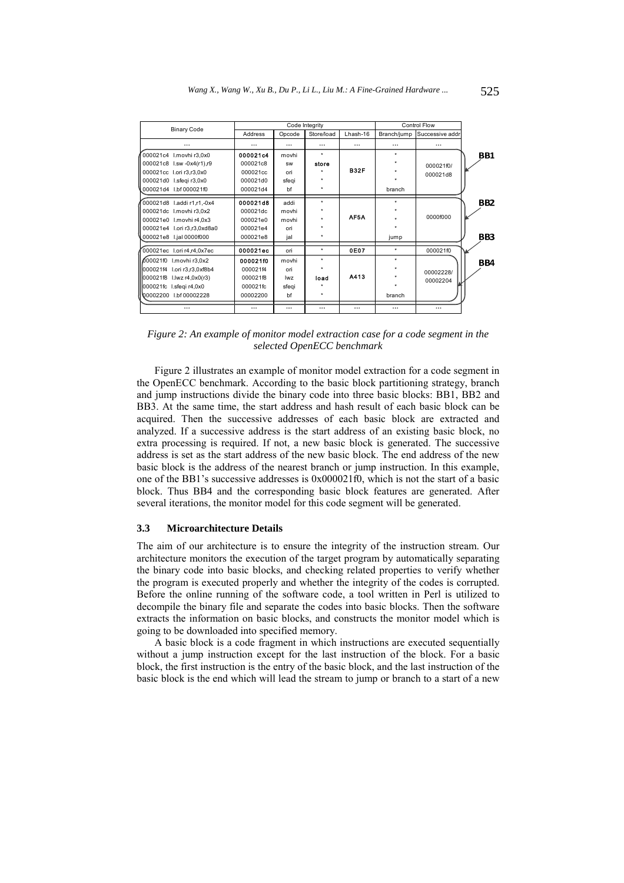| <b>Binary Code</b>          | Code Integrity |           |            | <b>Control Flow</b> |             |                 |     |
|-----------------------------|----------------|-----------|------------|---------------------|-------------|-----------------|-----|
|                             | <b>Address</b> | Opcode    | Store/load | Lhash-16            | Branch/jump | Successive addr |     |
| $\cdots$                    | $\cdots$       | $\cdots$  | $\cdots$   | $\cdots$            |             |                 |     |
| 000021c4 I.movhi r3,0x0     | 000021c4       | movhi     | $\star$    |                     | ٠           |                 | BB1 |
| 000021c8 I.sw -0x4(r1),r9   | 000021c8       | <b>SW</b> | store      |                     |             | 000021f0/       |     |
| 000021cc I.ori r3, r3, 0x0  | 000021cc       | ori       |            | <b>B32F</b>         |             | 000021d8        |     |
| 000021d0 I.sfegi r3,0x0     | 000021d0       | sfeqi     |            |                     |             |                 |     |
| 000021d4 I.bf 000021f0      | 000021d4       | bf        |            |                     | branch      |                 |     |
| 000021d8 I.addi r1,r1,-0x4  | 000021d8       | addi      | $\star$    |                     | ٠           |                 | BB2 |
| 000021dc I.movhi r3,0x2     | 000021dc       | movhi     |            |                     |             |                 |     |
| 000021e0 I.movhi r4,0x3     | 000021e0       | movhi     |            | AF5A                |             | 0000f000        |     |
| 000021e4 I.ori r3,r3,0xd8a0 | 000021e4       | ori       |            |                     |             |                 |     |
| 000021e8 I.jal 0000f000     | 000021e8       | jal       | ٠          |                     | jump        |                 | BB3 |
| 000021ec l.ori r4,r4,0x7ec  | 000021ec       | ori       | $\star$    | 0E07                | $\star$     | 000021f0        |     |
| 000021f0 I.movhi r3,0x2     | 000021f0       | movhi     | $\star$    |                     | ٠           |                 | BB4 |
| 000021f4 I.ori r3,r3,0xf8b4 | 000021f4       | ori       |            |                     |             | 00002228/       |     |
| 000021f8 I.lwz r4,0x0(r3)   | 000021f8       | lwz       | load       | A413                |             | 00002204        |     |
| 000021fc I.sfeqi r4,0x0     | 000021fc       | sfeqi     |            |                     |             |                 |     |
| 00002200<br>I.bf 00002228   | 00002200       | bf        |            |                     | branch      |                 |     |
| $\cdots$                    | $\cdots$       | $\cdots$  | $\cdots$   | $\cdots$            | $\cdots$    | $\cdots$        |     |

*Figure 2: An example of monitor model extraction case for a code segment in the selected OpenECC benchmark* 

Figure 2 illustrates an example of monitor model extraction for a code segment in the OpenECC benchmark. According to the basic block partitioning strategy, branch and jump instructions divide the binary code into three basic blocks: BB1, BB2 and BB3. At the same time, the start address and hash result of each basic block can be acquired. Then the successive addresses of each basic block are extracted and analyzed. If a successive address is the start address of an existing basic block, no extra processing is required. If not, a new basic block is generated. The successive address is set as the start address of the new basic block. The end address of the new basic block is the address of the nearest branch or jump instruction. In this example, one of the BB1's successive addresses is 0x000021f0, which is not the start of a basic block. Thus BB4 and the corresponding basic block features are generated. After several iterations, the monitor model for this code segment will be generated.

#### **3.3 Microarchitecture Details**

The aim of our architecture is to ensure the integrity of the instruction stream. Our architecture monitors the execution of the target program by automatically separating the binary code into basic blocks, and checking related properties to verify whether the program is executed properly and whether the integrity of the codes is corrupted. Before the online running of the software code, a tool written in Perl is utilized to decompile the binary file and separate the codes into basic blocks. Then the software extracts the information on basic blocks, and constructs the monitor model which is going to be downloaded into specified memory.

A basic block is a code fragment in which instructions are executed sequentially without a jump instruction except for the last instruction of the block. For a basic block, the first instruction is the entry of the basic block, and the last instruction of the basic block is the end which will lead the stream to jump or branch to a start of a new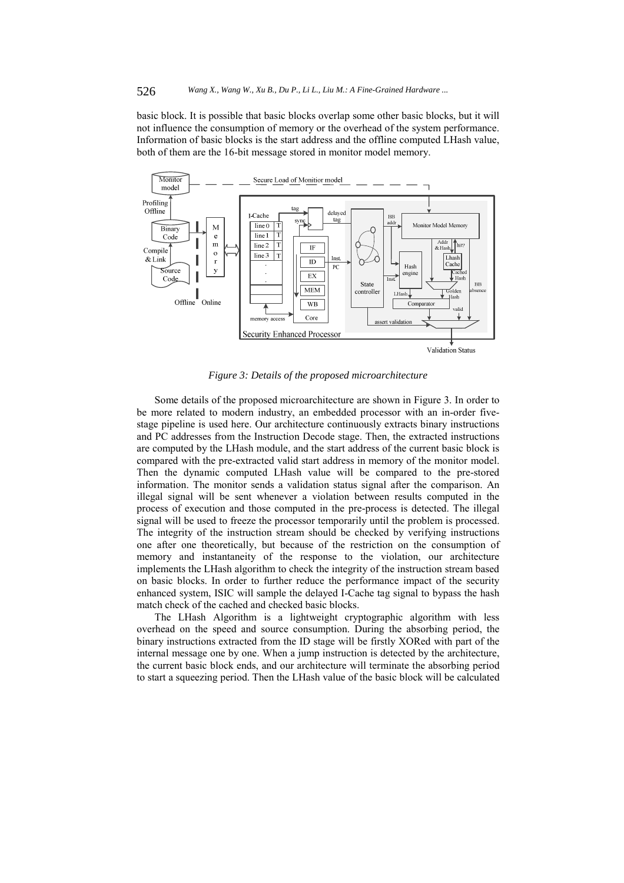basic block. It is possible that basic blocks overlap some other basic blocks, but it will not influence the consumption of memory or the overhead of the system performance. Information of basic blocks is the start address and the offline computed LHash value, both of them are the 16-bit message stored in monitor model memory.



*Figure 3: Details of the proposed microarchitecture* 

Some details of the proposed microarchitecture are shown in Figure 3. In order to be more related to modern industry, an embedded processor with an in-order fivestage pipeline is used here. Our architecture continuously extracts binary instructions and PC addresses from the Instruction Decode stage. Then, the extracted instructions are computed by the LHash module, and the start address of the current basic block is compared with the pre-extracted valid start address in memory of the monitor model. Then the dynamic computed LHash value will be compared to the pre-stored information. The monitor sends a validation status signal after the comparison. An illegal signal will be sent whenever a violation between results computed in the process of execution and those computed in the pre-process is detected. The illegal signal will be used to freeze the processor temporarily until the problem is processed. The integrity of the instruction stream should be checked by verifying instructions one after one theoretically, but because of the restriction on the consumption of memory and instantaneity of the response to the violation, our architecture implements the LHash algorithm to check the integrity of the instruction stream based on basic blocks. In order to further reduce the performance impact of the security enhanced system, ISIC will sample the delayed I-Cache tag signal to bypass the hash match check of the cached and checked basic blocks.

The LHash Algorithm is a lightweight cryptographic algorithm with less overhead on the speed and source consumption. During the absorbing period, the binary instructions extracted from the ID stage will be firstly XORed with part of the internal message one by one. When a jump instruction is detected by the architecture, the current basic block ends, and our architecture will terminate the absorbing period to start a squeezing period. Then the LHash value of the basic block will be calculated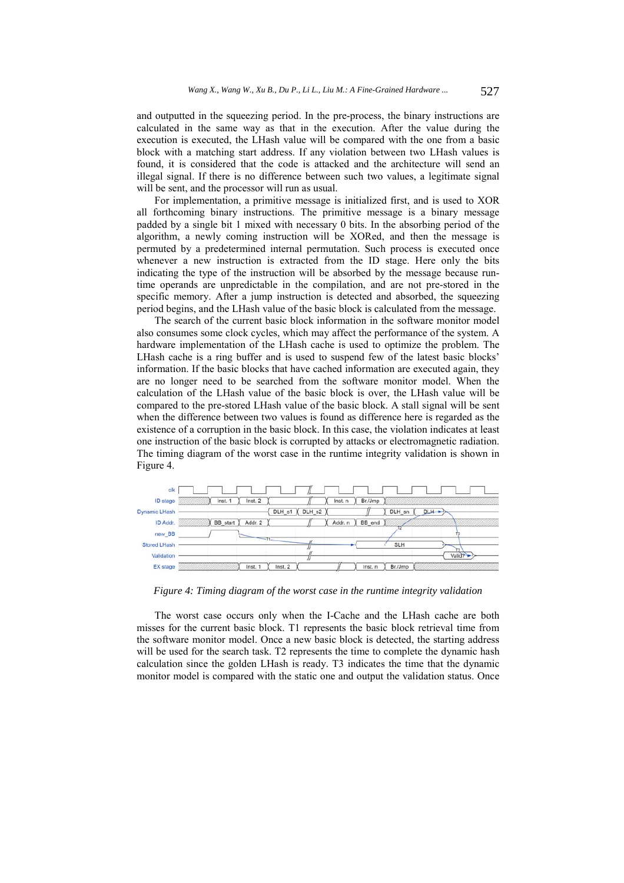and outputted in the squeezing period. In the pre-process, the binary instructions are calculated in the same way as that in the execution. After the value during the execution is executed, the LHash value will be compared with the one from a basic block with a matching start address. If any violation between two LHash values is found, it is considered that the code is attacked and the architecture will send an illegal signal. If there is no difference between such two values, a legitimate signal will be sent, and the processor will run as usual.

For implementation, a primitive message is initialized first, and is used to XOR all forthcoming binary instructions. The primitive message is a binary message padded by a single bit 1 mixed with necessary 0 bits. In the absorbing period of the algorithm, a newly coming instruction will be XORed, and then the message is permuted by a predetermined internal permutation. Such process is executed once whenever a new instruction is extracted from the ID stage. Here only the bits indicating the type of the instruction will be absorbed by the message because runtime operands are unpredictable in the compilation, and are not pre-stored in the specific memory. After a jump instruction is detected and absorbed, the squeezing period begins, and the LHash value of the basic block is calculated from the message.

The search of the current basic block information in the software monitor model also consumes some clock cycles, which may affect the performance of the system. A hardware implementation of the LHash cache is used to optimize the problem. The LHash cache is a ring buffer and is used to suspend few of the latest basic blocks' information. If the basic blocks that have cached information are executed again, they are no longer need to be searched from the software monitor model. When the calculation of the LHash value of the basic block is over, the LHash value will be compared to the pre-stored LHash value of the basic block. A stall signal will be sent when the difference between two values is found as difference here is regarded as the existence of a corruption in the basic block. In this case, the violation indicates at least one instruction of the basic block is corrupted by attacks or electromagnetic radiation. The timing diagram of the worst case in the runtime integrity validation is shown in Figure 4.



*Figure 4: Timing diagram of the worst case in the runtime integrity validation* 

The worst case occurs only when the I-Cache and the LHash cache are both misses for the current basic block. T1 represents the basic block retrieval time from the software monitor model. Once a new basic block is detected, the starting address will be used for the search task. T2 represents the time to complete the dynamic hash calculation since the golden LHash is ready. T3 indicates the time that the dynamic monitor model is compared with the static one and output the validation status. Once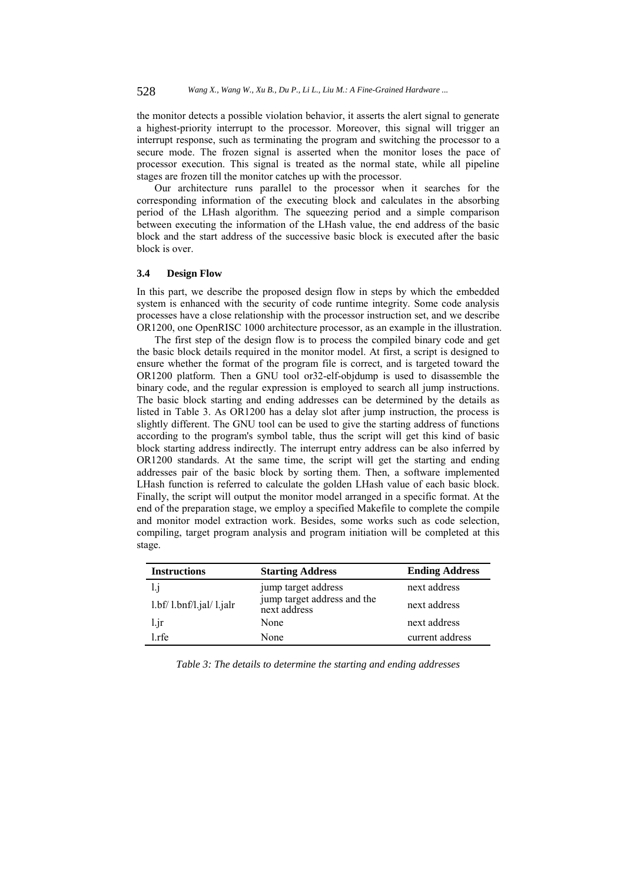the monitor detects a possible violation behavior, it asserts the alert signal to generate a highest-priority interrupt to the processor. Moreover, this signal will trigger an interrupt response, such as terminating the program and switching the processor to a secure mode. The frozen signal is asserted when the monitor loses the pace of processor execution. This signal is treated as the normal state, while all pipeline stages are frozen till the monitor catches up with the processor.

Our architecture runs parallel to the processor when it searches for the corresponding information of the executing block and calculates in the absorbing period of the LHash algorithm. The squeezing period and a simple comparison between executing the information of the LHash value, the end address of the basic block and the start address of the successive basic block is executed after the basic block is over.

#### **3.4 Design Flow**

In this part, we describe the proposed design flow in steps by which the embedded system is enhanced with the security of code runtime integrity. Some code analysis processes have a close relationship with the processor instruction set, and we describe OR1200, one OpenRISC 1000 architecture processor, as an example in the illustration.

The first step of the design flow is to process the compiled binary code and get the basic block details required in the monitor model. At first, a script is designed to ensure whether the format of the program file is correct, and is targeted toward the OR1200 platform. Then a GNU tool or32-elf-objdump is used to disassemble the binary code, and the regular expression is employed to search all jump instructions. The basic block starting and ending addresses can be determined by the details as listed in Table 3. As OR1200 has a delay slot after jump instruction, the process is slightly different. The GNU tool can be used to give the starting address of functions according to the program's symbol table, thus the script will get this kind of basic block starting address indirectly. The interrupt entry address can be also inferred by OR1200 standards. At the same time, the script will get the starting and ending addresses pair of the basic block by sorting them. Then, a software implemented LHash function is referred to calculate the golden LHash value of each basic block. Finally, the script will output the monitor model arranged in a specific format. At the end of the preparation stage, we employ a specified Makefile to complete the compile and monitor model extraction work. Besides, some works such as code selection, compiling, target program analysis and program initiation will be completed at this stage.

| <b>Instructions</b>     | <b>Starting Address</b>                     | <b>Ending Address</b> |
|-------------------------|---------------------------------------------|-----------------------|
| 1.1                     | jump target address                         | next address          |
| 1.bf/1.bnf/l.jal/1.jalr | jump target address and the<br>next address | next address          |
| $1$ . jr                | None                                        | next address          |
| l.rfe                   | None                                        | current address       |

*Table 3: The details to determine the starting and ending addresses*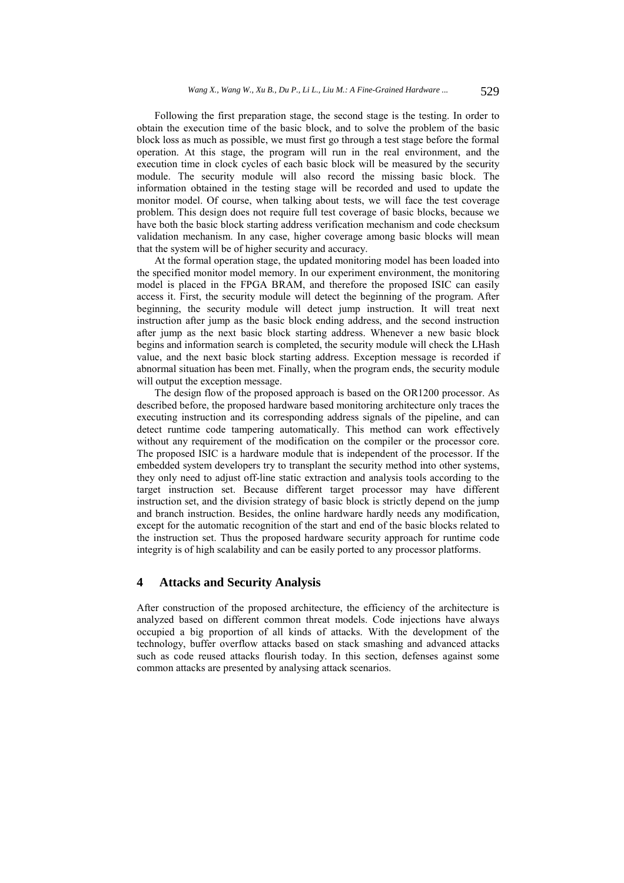Following the first preparation stage, the second stage is the testing. In order to obtain the execution time of the basic block, and to solve the problem of the basic block loss as much as possible, we must first go through a test stage before the formal operation. At this stage, the program will run in the real environment, and the execution time in clock cycles of each basic block will be measured by the security module. The security module will also record the missing basic block. The information obtained in the testing stage will be recorded and used to update the monitor model. Of course, when talking about tests, we will face the test coverage problem. This design does not require full test coverage of basic blocks, because we have both the basic block starting address verification mechanism and code checksum validation mechanism. In any case, higher coverage among basic blocks will mean that the system will be of higher security and accuracy.

At the formal operation stage, the updated monitoring model has been loaded into the specified monitor model memory. In our experiment environment, the monitoring model is placed in the FPGA BRAM, and therefore the proposed ISIC can easily access it. First, the security module will detect the beginning of the program. After beginning, the security module will detect jump instruction. It will treat next instruction after jump as the basic block ending address, and the second instruction after jump as the next basic block starting address. Whenever a new basic block begins and information search is completed, the security module will check the LHash value, and the next basic block starting address. Exception message is recorded if abnormal situation has been met. Finally, when the program ends, the security module will output the exception message.

The design flow of the proposed approach is based on the OR1200 processor. As described before, the proposed hardware based monitoring architecture only traces the executing instruction and its corresponding address signals of the pipeline, and can detect runtime code tampering automatically. This method can work effectively without any requirement of the modification on the compiler or the processor core. The proposed ISIC is a hardware module that is independent of the processor. If the embedded system developers try to transplant the security method into other systems, they only need to adjust off-line static extraction and analysis tools according to the target instruction set. Because different target processor may have different instruction set, and the division strategy of basic block is strictly depend on the jump and branch instruction. Besides, the online hardware hardly needs any modification, except for the automatic recognition of the start and end of the basic blocks related to the instruction set. Thus the proposed hardware security approach for runtime code integrity is of high scalability and can be easily ported to any processor platforms.

## **4 Attacks and Security Analysis**

After construction of the proposed architecture, the efficiency of the architecture is analyzed based on different common threat models. Code injections have always occupied a big proportion of all kinds of attacks. With the development of the technology, buffer overflow attacks based on stack smashing and advanced attacks such as code reused attacks flourish today. In this section, defenses against some common attacks are presented by analysing attack scenarios.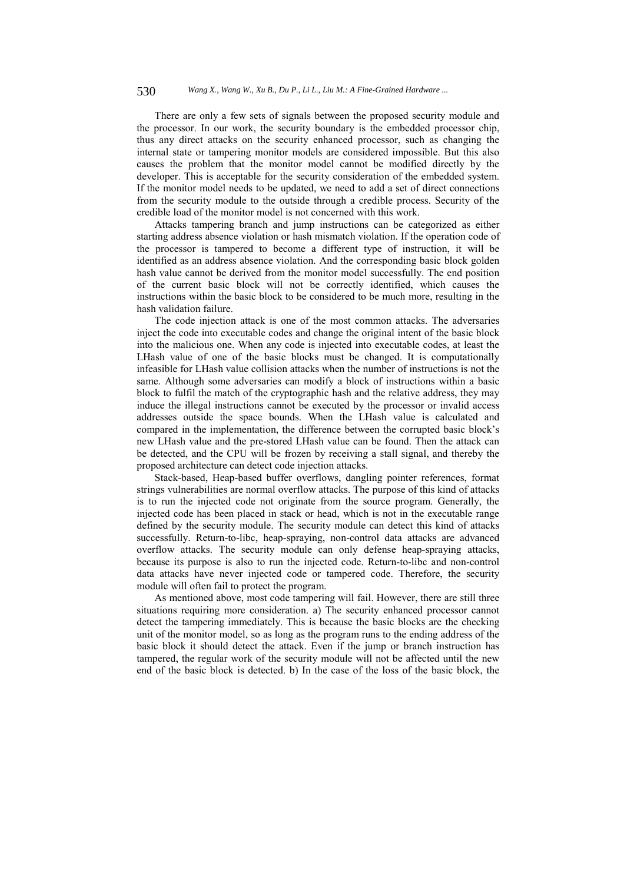There are only a few sets of signals between the proposed security module and the processor. In our work, the security boundary is the embedded processor chip, thus any direct attacks on the security enhanced processor, such as changing the internal state or tampering monitor models are considered impossible. But this also causes the problem that the monitor model cannot be modified directly by the developer. This is acceptable for the security consideration of the embedded system. If the monitor model needs to be updated, we need to add a set of direct connections from the security module to the outside through a credible process. Security of the credible load of the monitor model is not concerned with this work.

Attacks tampering branch and jump instructions can be categorized as either starting address absence violation or hash mismatch violation. If the operation code of the processor is tampered to become a different type of instruction, it will be identified as an address absence violation. And the corresponding basic block golden hash value cannot be derived from the monitor model successfully. The end position of the current basic block will not be correctly identified, which causes the instructions within the basic block to be considered to be much more, resulting in the hash validation failure.

The code injection attack is one of the most common attacks. The adversaries inject the code into executable codes and change the original intent of the basic block into the malicious one. When any code is injected into executable codes, at least the LHash value of one of the basic blocks must be changed. It is computationally infeasible for LHash value collision attacks when the number of instructions is not the same. Although some adversaries can modify a block of instructions within a basic block to fulfil the match of the cryptographic hash and the relative address, they may induce the illegal instructions cannot be executed by the processor or invalid access addresses outside the space bounds. When the LHash value is calculated and compared in the implementation, the difference between the corrupted basic block's new LHash value and the pre-stored LHash value can be found. Then the attack can be detected, and the CPU will be frozen by receiving a stall signal, and thereby the proposed architecture can detect code injection attacks.

Stack-based, Heap-based buffer overflows, dangling pointer references, format strings vulnerabilities are normal overflow attacks. The purpose of this kind of attacks is to run the injected code not originate from the source program. Generally, the injected code has been placed in stack or head, which is not in the executable range defined by the security module. The security module can detect this kind of attacks successfully. Return-to-libc, heap-spraying, non-control data attacks are advanced overflow attacks. The security module can only defense heap-spraying attacks, because its purpose is also to run the injected code. Return-to-libc and non-control data attacks have never injected code or tampered code. Therefore, the security module will often fail to protect the program.

As mentioned above, most code tampering will fail. However, there are still three situations requiring more consideration. a) The security enhanced processor cannot detect the tampering immediately. This is because the basic blocks are the checking unit of the monitor model, so as long as the program runs to the ending address of the basic block it should detect the attack. Even if the jump or branch instruction has tampered, the regular work of the security module will not be affected until the new end of the basic block is detected. b) In the case of the loss of the basic block, the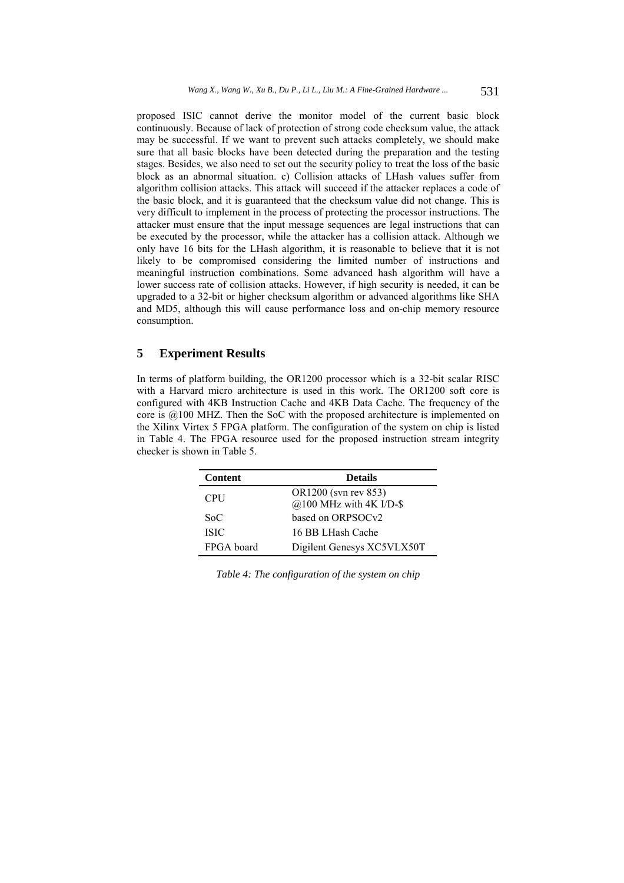proposed ISIC cannot derive the monitor model of the current basic block continuously. Because of lack of protection of strong code checksum value, the attack may be successful. If we want to prevent such attacks completely, we should make sure that all basic blocks have been detected during the preparation and the testing stages. Besides, we also need to set out the security policy to treat the loss of the basic block as an abnormal situation. c) Collision attacks of LHash values suffer from algorithm collision attacks. This attack will succeed if the attacker replaces a code of the basic block, and it is guaranteed that the checksum value did not change. This is very difficult to implement in the process of protecting the processor instructions. The attacker must ensure that the input message sequences are legal instructions that can be executed by the processor, while the attacker has a collision attack. Although we only have 16 bits for the LHash algorithm, it is reasonable to believe that it is not likely to be compromised considering the limited number of instructions and meaningful instruction combinations. Some advanced hash algorithm will have a lower success rate of collision attacks. However, if high security is needed, it can be upgraded to a 32-bit or higher checksum algorithm or advanced algorithms like SHA and MD5, although this will cause performance loss and on-chip memory resource consumption.

# **5 Experiment Results**

In terms of platform building, the OR1200 processor which is a 32-bit scalar RISC with a Harvard micro architecture is used in this work. The OR1200 soft core is configured with 4KB Instruction Cache and 4KB Data Cache. The frequency of the core is @100 MHZ. Then the SoC with the proposed architecture is implemented on the Xilinx Virtex 5 FPGA platform. The configuration of the system on chip is listed in Table 4. The FPGA resource used for the proposed instruction stream integrity checker is shown in Table 5.

| <b>Content</b> | <b>Details</b>                |
|----------------|-------------------------------|
| <b>CPU</b>     | OR1200 (svn rev 853)          |
|                | $@100$ MHz with 4K I/D-\$     |
| $S_0C$         | based on ORPSOC <sub>v2</sub> |
| <b>ISIC</b>    | 16 BB LHash Cache             |
| FPGA board     | Digilent Genesys XC5VLX50T    |

*Table 4: The configuration of the system on chip*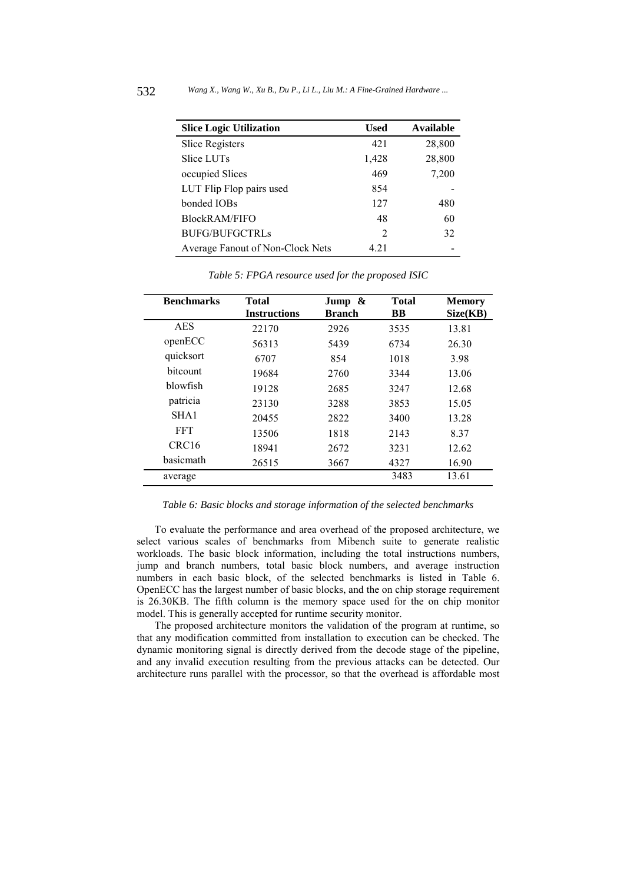| <b>Slice Logic Utilization</b>   | <b>Used</b>    | Available |
|----------------------------------|----------------|-----------|
| Slice Registers                  | 421            | 28,800    |
| Slice LUTs                       | 1,428          | 28,800    |
| occupied Slices                  | 469            | 7,200     |
| LUT Flip Flop pairs used         | 854            |           |
| bonded IOBs                      | 127            | 480       |
| <b>BlockRAM/FIFO</b>             | 48             | 60        |
| <b>BUFG/BUFGCTRLs</b>            | $\mathfrak{D}$ | 32        |
| Average Fanout of Non-Clock Nets | 4 21           |           |

| <b>Benchmarks</b> | <b>Total</b><br><b>Instructions</b> | Jump $\&$<br><b>Branch</b> | <b>Total</b><br><b>BB</b> | <b>Memory</b><br>Size(KB) |
|-------------------|-------------------------------------|----------------------------|---------------------------|---------------------------|
| <b>AES</b>        | 22170                               | 2926                       | 3535                      | 13.81                     |
| openECC           | 56313                               | 5439                       | 6734                      | 26.30                     |
| quicksort         | 6707                                | 854                        | 1018                      | 3.98                      |
| bitcount          | 19684                               | 2760                       | 3344                      | 13.06                     |
| <b>blowfish</b>   | 19128                               | 2685                       | 3247                      | 12.68                     |
| patricia          | 23130                               | 3288                       | 3853                      | 15.05                     |
| SHA1              | 20455                               | 2822                       | 3400                      | 13.28                     |
| <b>FFT</b>        | 13506                               | 1818                       | 2143                      | 8.37                      |
| CRC <sub>16</sub> | 18941                               | 2672                       | 3231                      | 12.62                     |
| <b>basicmath</b>  | 26515                               | 3667                       | 4327                      | 16.90                     |
| average           |                                     |                            | 3483                      | 13.61                     |

*Table 5: FPGA resource used for the proposed ISIC* 

*Table 6: Basic blocks and storage information of the selected benchmarks* 

To evaluate the performance and area overhead of the proposed architecture, we select various scales of benchmarks from Mibench suite to generate realistic workloads. The basic block information, including the total instructions numbers, jump and branch numbers, total basic block numbers, and average instruction numbers in each basic block, of the selected benchmarks is listed in Table 6. OpenECC has the largest number of basic blocks, and the on chip storage requirement is 26.30KB. The fifth column is the memory space used for the on chip monitor model. This is generally accepted for runtime security monitor.

The proposed architecture monitors the validation of the program at runtime, so that any modification committed from installation to execution can be checked. The dynamic monitoring signal is directly derived from the decode stage of the pipeline, and any invalid execution resulting from the previous attacks can be detected. Our architecture runs parallel with the processor, so that the overhead is affordable most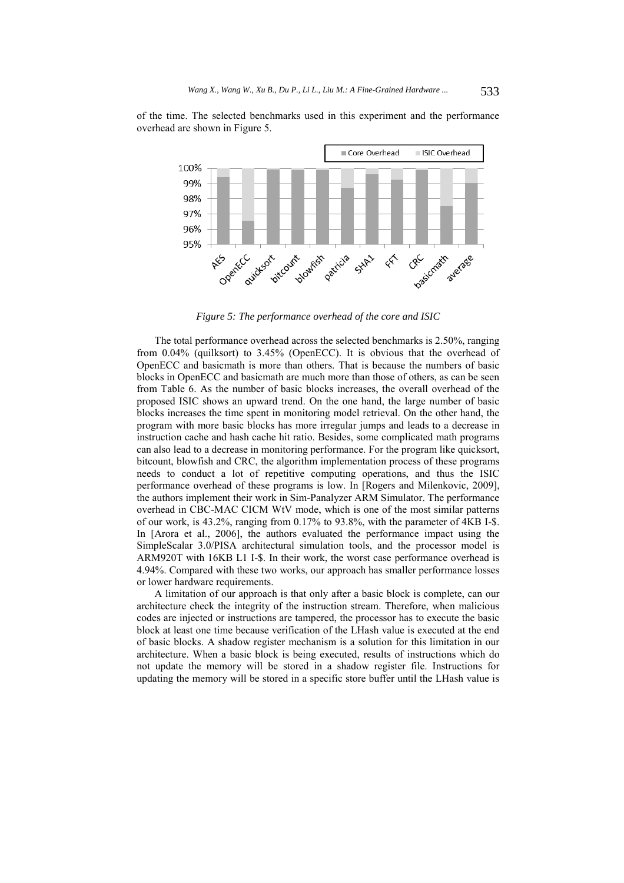

of the time. The selected benchmarks used in this experiment and the performance overhead are shown in Figure 5.

*Figure 5: The performance overhead of the core and ISIC* 

The total performance overhead across the selected benchmarks is 2.50%, ranging from 0.04% (quilksort) to 3.45% (OpenECC). It is obvious that the overhead of OpenECC and basicmath is more than others. That is because the numbers of basic blocks in OpenECC and basicmath are much more than those of others, as can be seen from Table 6. As the number of basic blocks increases, the overall overhead of the proposed ISIC shows an upward trend. On the one hand, the large number of basic blocks increases the time spent in monitoring model retrieval. On the other hand, the program with more basic blocks has more irregular jumps and leads to a decrease in instruction cache and hash cache hit ratio. Besides, some complicated math programs can also lead to a decrease in monitoring performance. For the program like quicksort, bitcount, blowfish and CRC, the algorithm implementation process of these programs needs to conduct a lot of repetitive computing operations, and thus the ISIC performance overhead of these programs is low. In [Rogers and Milenkovic, 2009], the authors implement their work in Sim-Panalyzer ARM Simulator. The performance overhead in CBC-MAC CICM WtV mode, which is one of the most similar patterns of our work, is 43.2%, ranging from 0.17% to 93.8%, with the parameter of 4KB I-\$. In [Arora et al., 2006], the authors evaluated the performance impact using the SimpleScalar 3.0/PISA architectural simulation tools, and the processor model is ARM920T with 16KB L1 I-\$. In their work, the worst case performance overhead is 4.94%. Compared with these two works, our approach has smaller performance losses or lower hardware requirements.

A limitation of our approach is that only after a basic block is complete, can our architecture check the integrity of the instruction stream. Therefore, when malicious codes are injected or instructions are tampered, the processor has to execute the basic block at least one time because verification of the LHash value is executed at the end of basic blocks. A shadow register mechanism is a solution for this limitation in our architecture. When a basic block is being executed, results of instructions which do not update the memory will be stored in a shadow register file. Instructions for updating the memory will be stored in a specific store buffer until the LHash value is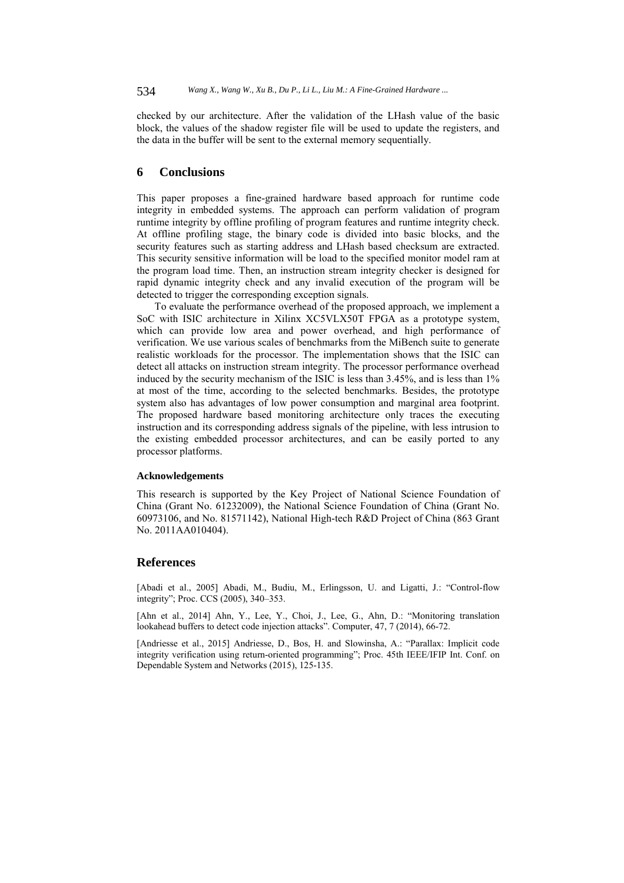checked by our architecture. After the validation of the LHash value of the basic block, the values of the shadow register file will be used to update the registers, and the data in the buffer will be sent to the external memory sequentially.

# **6 Conclusions**

This paper proposes a fine-grained hardware based approach for runtime code integrity in embedded systems. The approach can perform validation of program runtime integrity by offline profiling of program features and runtime integrity check. At offline profiling stage, the binary code is divided into basic blocks, and the security features such as starting address and LHash based checksum are extracted. This security sensitive information will be load to the specified monitor model ram at the program load time. Then, an instruction stream integrity checker is designed for rapid dynamic integrity check and any invalid execution of the program will be detected to trigger the corresponding exception signals.

To evaluate the performance overhead of the proposed approach, we implement a SoC with ISIC architecture in Xilinx XC5VLX50T FPGA as a prototype system, which can provide low area and power overhead, and high performance of verification. We use various scales of benchmarks from the MiBench suite to generate realistic workloads for the processor. The implementation shows that the ISIC can detect all attacks on instruction stream integrity. The processor performance overhead induced by the security mechanism of the ISIC is less than 3.45%, and is less than 1% at most of the time, according to the selected benchmarks. Besides, the prototype system also has advantages of low power consumption and marginal area footprint. The proposed hardware based monitoring architecture only traces the executing instruction and its corresponding address signals of the pipeline, with less intrusion to the existing embedded processor architectures, and can be easily ported to any processor platforms.

#### **Acknowledgements**

This research is supported by the Key Project of National Science Foundation of China (Grant No. 61232009), the National Science Foundation of China (Grant No. 60973106, and No. 81571142), National High-tech R&D Project of China (863 Grant No. 2011AA010404).

#### **References**

[Abadi et al., 2005] Abadi, M., Budiu, M., Erlingsson, U. and Ligatti, J.: "Control-flow integrity"; Proc. CCS (2005), 340–353.

[Ahn et al., 2014] Ahn, Y., Lee, Y., Choi, J., Lee, G., Ahn, D.: "Monitoring translation lookahead buffers to detect code injection attacks". Computer, 47, 7 (2014), 66-72.

[Andriesse et al., 2015] Andriesse, D., Bos, H. and Slowinsha, A.: "Parallax: Implicit code integrity verification using return-oriented programming"; Proc. 45th IEEE/IFIP Int. Conf. on Dependable System and Networks (2015), 125-135.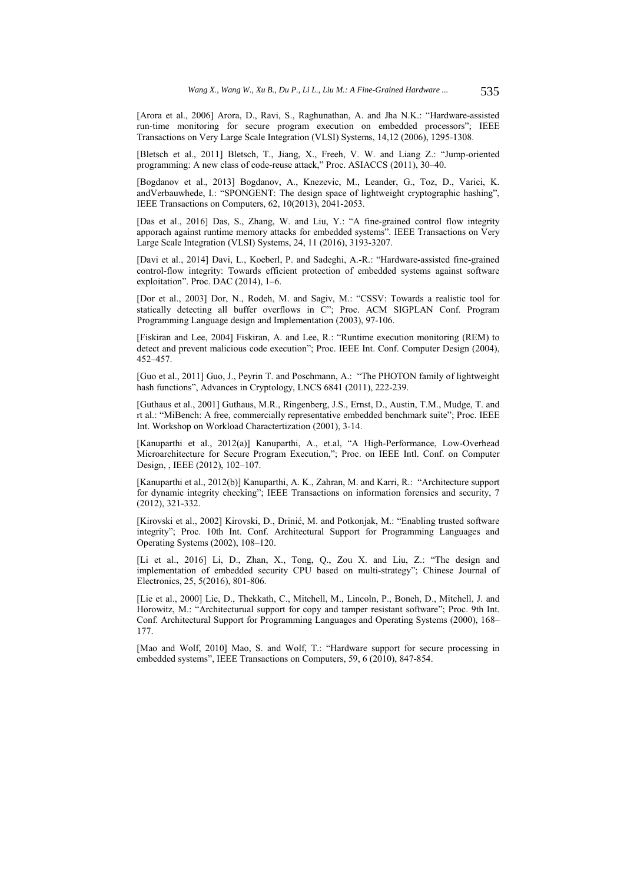[Arora et al., 2006] Arora, D., Ravi, S., Raghunathan, A. and Jha N.K.: "Hardware-assisted run-time monitoring for secure program execution on embedded processors"; IEEE Transactions on Very Large Scale Integration (VLSI) Systems, 14,12 (2006), 1295-1308.

[Bletsch et al., 2011] Bletsch, T., Jiang, X., Freeh, V. W. and Liang Z.: "Jump-oriented programming: A new class of code-reuse attack," Proc. ASIACCS (2011), 30–40.

[Bogdanov et al., 2013] Bogdanov, A., Knezevic, M., Leander, G., Toz, D., Varici, K. andVerbauwhede, I.: "SPONGENT: The design space of lightweight cryptographic hashing", IEEE Transactions on Computers, 62, 10(2013), 2041-2053.

[Das et al., 2016] Das, S., Zhang, W. and Liu, Y.: "A fine-grained control flow integrity apporach against runtime memory attacks for embedded systems". IEEE Transactions on Very Large Scale Integration (VLSI) Systems, 24, 11 (2016), 3193-3207.

[Davi et al., 2014] Davi, L., Koeberl, P. and Sadeghi, A.-R.: "Hardware-assisted fine-grained control-flow integrity: Towards efficient protection of embedded systems against software exploitation". Proc. DAC (2014), 1–6.

[Dor et al., 2003] Dor, N., Rodeh, M. and Sagiv, M.: "CSSV: Towards a realistic tool for statically detecting all buffer overflows in C"; Proc. ACM SIGPLAN Conf. Program Programming Language design and Implementation (2003), 97-106.

[Fiskiran and Lee, 2004] Fiskiran, A. and Lee, R.: "Runtime execution monitoring (REM) to detect and prevent malicious code execution"; Proc. IEEE Int. Conf. Computer Design (2004), 452–457.

[Guo et al., 2011] Guo, J., Peyrin T. and Poschmann, A.: "The PHOTON family of lightweight hash functions", Advances in Cryptology, LNCS 6841 (2011), 222-239.

[Guthaus et al., 2001] Guthaus, M.R., Ringenberg, J.S., Ernst, D., Austin, T.M., Mudge, T. and rt al.: "MiBench: A free, commercially representative embedded benchmark suite"; Proc. IEEE Int. Workshop on Workload Charactertization (2001), 3-14.

[Kanuparthi et al., 2012(a)] Kanuparthi, A., et.al, "A High-Performance, Low-Overhead Microarchitecture for Secure Program Execution,"; Proc. on IEEE Intl. Conf. on Computer Design, , IEEE (2012), 102–107.

[Kanuparthi et al., 2012(b)] Kanuparthi, A. K., Zahran, M. and Karri, R.: "Architecture support for dynamic integrity checking"; IEEE Transactions on information forensics and security, 7 (2012), 321-332.

[Kirovski et al., 2002] Kirovski, D., Drinić, M. and Potkonjak, M.: "Enabling trusted software integrity"; Proc. 10th Int. Conf. Architectural Support for Programming Languages and Operating Systems (2002), 108–120.

[Li et al., 2016] Li, D., Zhan, X., Tong, Q., Zou X. and Liu, Z.: "The design and implementation of embedded security CPU based on multi-strategy"; Chinese Journal of Electronics, 25, 5(2016), 801-806.

[Lie et al., 2000] Lie, D., Thekkath, C., Mitchell, M., Lincoln, P., Boneh, D., Mitchell, J. and Horowitz, M.: "Architecturual support for copy and tamper resistant software"; Proc. 9th Int. Conf. Architectural Support for Programming Languages and Operating Systems (2000), 168– 177.

[Mao and Wolf, 2010] Mao, S. and Wolf, T.: "Hardware support for secure processing in embedded systems", IEEE Transactions on Computers, 59, 6 (2010), 847-854.